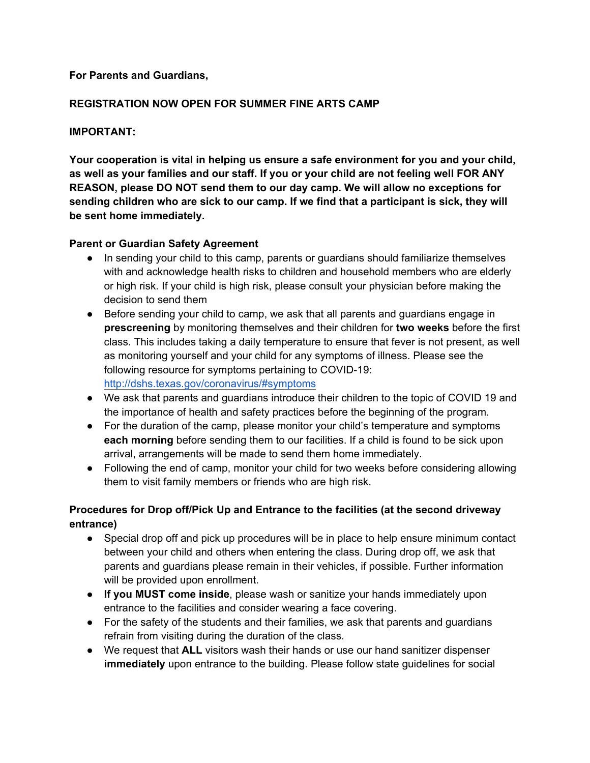### **For Parents and Guardians,**

## **REGISTRATION NOW OPEN FOR SUMMER FINE ARTS CAMP**

### **IMPORTANT:**

**Your cooperation is vital in helping us ensure a safe environment for you and your child, as well as your families and our staff. If you or your child are not feeling well FOR ANY REASON, please DO NOT send them to our day camp. We will allow no exceptions for sending children who are sick to our camp. If we find that a participant is sick, they will be sent home immediately.** 

#### **Parent or Guardian Safety Agreement**

- In sending your child to this camp, parents or guardians should familiarize themselves with and acknowledge health risks to children and household members who are elderly or high risk. If your child is high risk, please consult your physician before making the decision to send them
- Before sending your child to camp, we ask that all parents and quardians engage in **prescreening** by monitoring themselves and their children for **two weeks** before the first class. This includes taking a daily temperature to ensure that fever is not present, as well as monitoring yourself and your child for any symptoms of illness. Please see the following resource for symptoms pertaining to COVID-19: http://dshs.texas.gov/coronavirus/#symptoms
- We ask that parents and guardians introduce their children to the topic of COVID 19 and the importance of health and safety practices before the beginning of the program.
- For the duration of the camp, please monitor your child's temperature and symptoms **each morning** before sending them to our facilities. If a child is found to be sick upon arrival, arrangements will be made to send them home immediately.
- Following the end of camp, monitor your child for two weeks before considering allowing them to visit family members or friends who are high risk.

# **Procedures for Drop off/Pick Up and Entrance to the facilities (at the second driveway entrance)**

- Special drop off and pick up procedures will be in place to help ensure minimum contact between your child and others when entering the class. During drop off, we ask that parents and guardians please remain in their vehicles, if possible. Further information will be provided upon enrollment.
- **If you MUST come inside**, please wash or sanitize your hands immediately upon entrance to the facilities and consider wearing a face covering.
- For the safety of the students and their families, we ask that parents and guardians refrain from visiting during the duration of the class.
- We request that **ALL** visitors wash their hands or use our hand sanitizer dispenser **immediately** upon entrance to the building. Please follow state guidelines for social